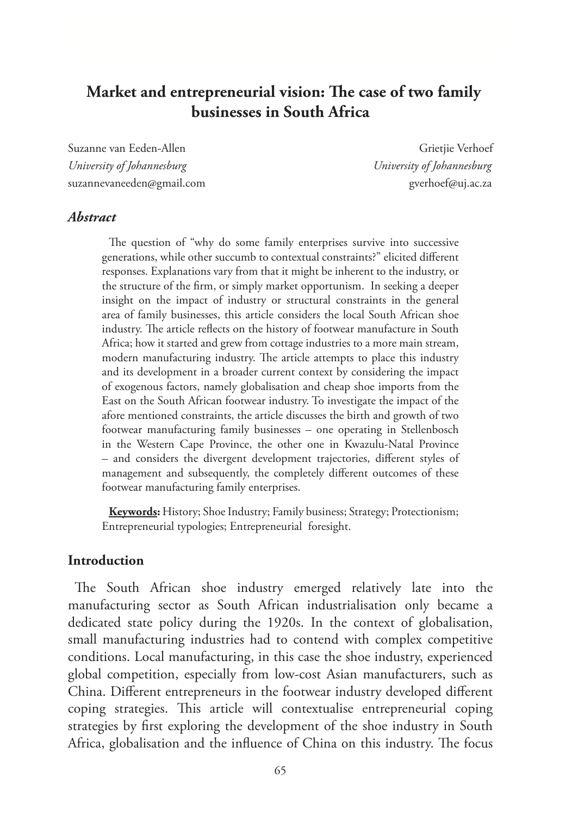# **Market and entrepreneurial vision: The case of two family businesses in South Africa**

Suzanne van Eeden-Allen Grietjie Verhoef Grietjie Verhoef *University of Johannesburg University of Johannesburg* suzannevaneeden@gmail.com gverhoef@uj.ac.za

#### *Abstract*

The question of "why do some family enterprises survive into successive generations, while other succumb to contextual constraints?" elicited different responses. Explanations vary from that it might be inherent to the industry, or the structure of the firm, or simply market opportunism. In seeking a deeper insight on the impact of industry or structural constraints in the general area of family businesses, this article considers the local South African shoe industry. The article reflects on the history of footwear manufacture in South Africa; how it started and grew from cottage industries to a more main stream, modern manufacturing industry. The article attempts to place this industry and its development in a broader current context by considering the impact of exogenous factors, namely globalisation and cheap shoe imports from the East on the South African footwear industry. To investigate the impact of the afore mentioned constraints, the article discusses the birth and growth of two footwear manufacturing family businesses – one operating in Stellenbosch in the Western Cape Province, the other one in Kwazulu-Natal Province – and considers the divergent development trajectories, different styles of management and subsequently, the completely different outcomes of these footwear manufacturing family enterprises.

**Keywords:** History; Shoe Industry; Family business; Strategy; Protectionism; Entrepreneurial typologies; Entrepreneurial foresight.

#### **Introduction**

The South African shoe industry emerged relatively late into the manufacturing sector as South African industrialisation only became a dedicated state policy during the 1920s. In the context of globalisation, small manufacturing industries had to contend with complex competitive conditions. Local manufacturing, in this case the shoe industry, experienced global competition, especially from low-cost Asian manufacturers, such as China. Different entrepreneurs in the footwear industry developed different coping strategies. This article will contextualise entrepreneurial coping strategies by first exploring the development of the shoe industry in South Africa, globalisation and the influence of China on this industry. The focus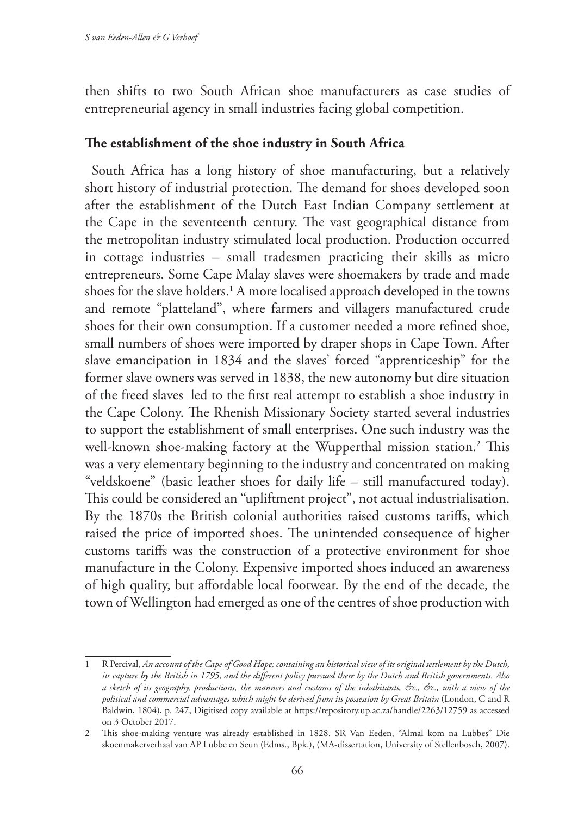then shifts to two South African shoe manufacturers as case studies of entrepreneurial agency in small industries facing global competition.

### **The establishment of the shoe industry in South Africa**

South Africa has a long history of shoe manufacturing, but a relatively short history of industrial protection. The demand for shoes developed soon after the establishment of the Dutch East Indian Company settlement at the Cape in the seventeenth century. The vast geographical distance from the metropolitan industry stimulated local production. Production occurred in cottage industries – small tradesmen practicing their skills as micro entrepreneurs. Some Cape Malay slaves were shoemakers by trade and made shoes for the slave holders.<sup>1</sup> A more localised approach developed in the towns and remote "platteland", where farmers and villagers manufactured crude shoes for their own consumption. If a customer needed a more refined shoe, small numbers of shoes were imported by draper shops in Cape Town. After slave emancipation in 1834 and the slaves' forced "apprenticeship" for the former slave owners was served in 1838, the new autonomy but dire situation of the freed slaves led to the first real attempt to establish a shoe industry in the Cape Colony. The Rhenish Missionary Society started several industries to support the establishment of small enterprises. One such industry was the well-known shoe-making factory at the Wupperthal mission station.2 This was a very elementary beginning to the industry and concentrated on making "veldskoene" (basic leather shoes for daily life – still manufactured today). This could be considered an "upliftment project", not actual industrialisation. By the 1870s the British colonial authorities raised customs tariffs, which raised the price of imported shoes. The unintended consequence of higher customs tariffs was the construction of a protective environment for shoe manufacture in the Colony. Expensive imported shoes induced an awareness of high quality, but affordable local footwear. By the end of the decade, the town of Wellington had emerged as one of the centres of shoe production with

<sup>1</sup> R Percival, *An account of the Cape of Good Hope; containing an historical view of its original settlement by the Dutch, its capture by the British in 1795, and the different policy pursued there by the Dutch and British governments. Also a sketch of its geography, productions, the manners and customs of the inhabitants, &c., &c., with a view of the political and commercial advantages which might be derived from its possession by Great Britain* (London, C and R Baldwin, 1804), p. 247, Digitised copy available at https://repository.up.ac.za/handle/2263/12759 as accessed on 3 October 2017.

<sup>2</sup> This shoe-making venture was already established in 1828. SR Van Eeden, "Almal kom na Lubbes" Die skoenmakerverhaal van AP Lubbe en Seun (Edms., Bpk.), (MA-dissertation, University of Stellenbosch, 2007).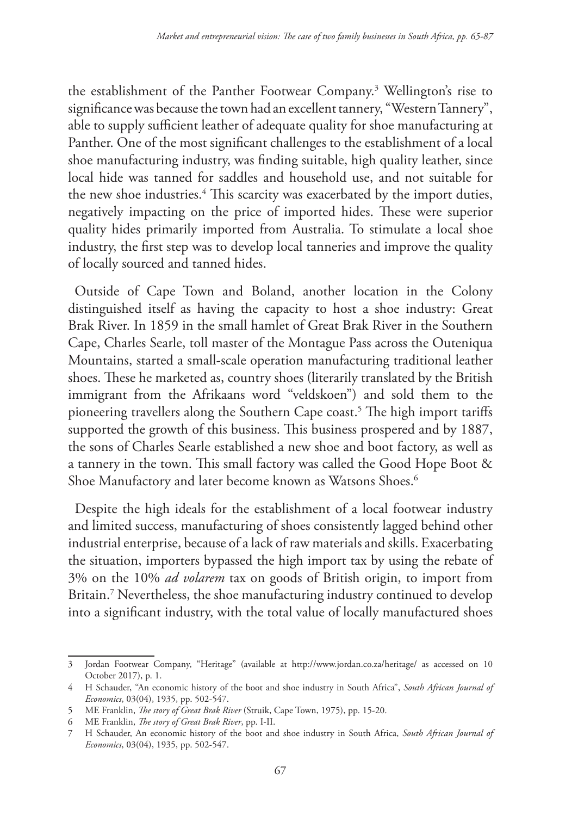the establishment of the Panther Footwear Company.3 Wellington's rise to significance was because the town had an excellent tannery, "Western Tannery", able to supply sufficient leather of adequate quality for shoe manufacturing at Panther. One of the most significant challenges to the establishment of a local shoe manufacturing industry, was finding suitable, high quality leather, since local hide was tanned for saddles and household use, and not suitable for the new shoe industries.<sup>4</sup> This scarcity was exacerbated by the import duties, negatively impacting on the price of imported hides. These were superior quality hides primarily imported from Australia. To stimulate a local shoe industry, the first step was to develop local tanneries and improve the quality of locally sourced and tanned hides.

Outside of Cape Town and Boland, another location in the Colony distinguished itself as having the capacity to host a shoe industry: Great Brak River. In 1859 in the small hamlet of Great Brak River in the Southern Cape, Charles Searle, toll master of the Montague Pass across the Outeniqua Mountains, started a small-scale operation manufacturing traditional leather shoes. These he marketed as, country shoes (literarily translated by the British immigrant from the Afrikaans word "veldskoen") and sold them to the pioneering travellers along the Southern Cape coast.5 The high import tariffs supported the growth of this business. This business prospered and by 1887, the sons of Charles Searle established a new shoe and boot factory, as well as a tannery in the town. This small factory was called the Good Hope Boot & Shoe Manufactory and later become known as Watsons Shoes.6

Despite the high ideals for the establishment of a local footwear industry and limited success, manufacturing of shoes consistently lagged behind other industrial enterprise, because of a lack of raw materials and skills. Exacerbating the situation, importers bypassed the high import tax by using the rebate of 3% on the 10% *ad volarem* tax on goods of British origin, to import from Britain.7 Nevertheless, the shoe manufacturing industry continued to develop into a significant industry, with the total value of locally manufactured shoes

<sup>3</sup> Jordan Footwear Company, "Heritage" (available at http://www.jordan.co.za/heritage/ as accessed on 10 October 2017), p. 1.

<sup>4</sup> H Schauder, "An economic history of the boot and shoe industry in South Africa", *South African Journal of Economics*, 03(04), 1935, pp. 502-547.

<sup>5</sup> ME Franklin, *The story of Great Brak River* (Struik, Cape Town, 1975), pp. 15-20.

<sup>6</sup> ME Franklin, *The story of Great Brak River*, pp. I-II.

<sup>7</sup> H Schauder, An economic history of the boot and shoe industry in South Africa, *South African Journal of Economics*, 03(04), 1935, pp. 502-547.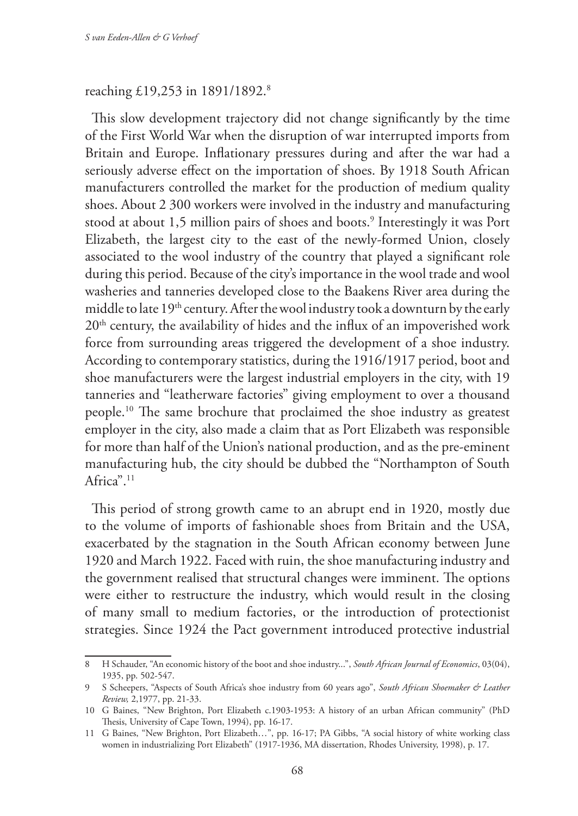#### reaching £19,253 in 1891/1892.8

This slow development trajectory did not change significantly by the time of the First World War when the disruption of war interrupted imports from Britain and Europe. Inflationary pressures during and after the war had a seriously adverse effect on the importation of shoes. By 1918 South African manufacturers controlled the market for the production of medium quality shoes. About 2 300 workers were involved in the industry and manufacturing stood at about 1,5 million pairs of shoes and boots.9 Interestingly it was Port Elizabeth, the largest city to the east of the newly-formed Union, closely associated to the wool industry of the country that played a significant role during this period. Because of the city's importance in the wool trade and wool washeries and tanneries developed close to the Baakens River area during the middle to late 19th century. After the wool industry took a downturn by the early 20<sup>th</sup> century, the availability of hides and the influx of an impoverished work force from surrounding areas triggered the development of a shoe industry. According to contemporary statistics, during the 1916/1917 period, boot and shoe manufacturers were the largest industrial employers in the city, with 19 tanneries and "leatherware factories" giving employment to over a thousand people.10 The same brochure that proclaimed the shoe industry as greatest employer in the city, also made a claim that as Port Elizabeth was responsible for more than half of the Union's national production, and as the pre-eminent manufacturing hub, the city should be dubbed the "Northampton of South Africa".<sup>11</sup>

This period of strong growth came to an abrupt end in 1920, mostly due to the volume of imports of fashionable shoes from Britain and the USA, exacerbated by the stagnation in the South African economy between June 1920 and March 1922. Faced with ruin, the shoe manufacturing industry and the government realised that structural changes were imminent. The options were either to restructure the industry, which would result in the closing of many small to medium factories, or the introduction of protectionist strategies. Since 1924 the Pact government introduced protective industrial

<sup>8</sup> H Schauder, "An economic history of the boot and shoe industry...", *South African Journal of Economics*, 03(04), 1935, pp. 502-547.

<sup>9</sup> S Scheepers, "Aspects of South Africa's shoe industry from 60 years ago", *South African Shoemaker & Leather Review,* 2,1977, pp. 21-33.

<sup>10</sup> G Baines, "New Brighton, Port Elizabeth c.1903-1953: A history of an urban African community" (PhD Thesis, University of Cape Town, 1994), pp. 16-17.

<sup>11</sup> G Baines, "New Brighton, Port Elizabeth…", pp. 16-17; PA Gibbs, "A social history of white working class women in industrializing Port Elizabeth" (1917-1936, MA dissertation, Rhodes University, 1998), p. 17.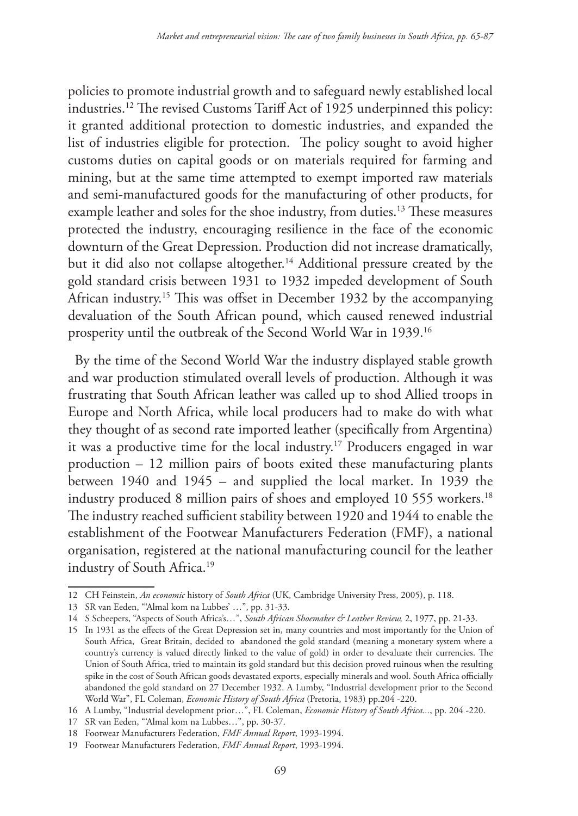policies to promote industrial growth and to safeguard newly established local industries.12 The revised Customs Tariff Act of 1925 underpinned this policy: it granted additional protection to domestic industries, and expanded the list of industries eligible for protection. The policy sought to avoid higher customs duties on capital goods or on materials required for farming and mining, but at the same time attempted to exempt imported raw materials and semi-manufactured goods for the manufacturing of other products, for example leather and soles for the shoe industry, from duties.13 These measures protected the industry, encouraging resilience in the face of the economic downturn of the Great Depression. Production did not increase dramatically, but it did also not collapse altogether.<sup>14</sup> Additional pressure created by the gold standard crisis between 1931 to 1932 impeded development of South African industry.15 This was offset in December 1932 by the accompanying devaluation of the South African pound, which caused renewed industrial prosperity until the outbreak of the Second World War in 1939.16

By the time of the Second World War the industry displayed stable growth and war production stimulated overall levels of production. Although it was frustrating that South African leather was called up to shod Allied troops in Europe and North Africa, while local producers had to make do with what they thought of as second rate imported leather (specifically from Argentina) it was a productive time for the local industry.17 Producers engaged in war production – 12 million pairs of boots exited these manufacturing plants between 1940 and 1945 – and supplied the local market. In 1939 the industry produced 8 million pairs of shoes and employed 10 555 workers.<sup>18</sup> The industry reached sufficient stability between 1920 and 1944 to enable the establishment of the Footwear Manufacturers Federation (FMF), a national organisation, registered at the national manufacturing council for the leather industry of South Africa.19

<sup>12</sup> CH Feinstein, *An economic* history of *South Africa* (UK, Cambridge University Press, 2005), p. 118.

<sup>13</sup> SR van Eeden, "'Almal kom na Lubbes' …", pp. 31-33.

<sup>14</sup> S Scheepers, "Aspects of South Africa's…", *South African Shoemaker & Leather Review,* 2, 1977, pp. 21-33.

<sup>15</sup> In 1931 as the effects of the Great Depression set in, many countries and most importantly for the Union of South Africa, Great Britain, decided to abandoned the gold standard (meaning a monetary system where a country's currency is valued directly linked to the value of gold) in order to devaluate their currencies. The Union of South Africa, tried to maintain its gold standard but this decision proved ruinous when the resulting spike in the cost of South African goods devastated exports, especially minerals and wool. South Africa officially abandoned the gold standard on 27 December 1932. A Lumby, "Industrial development prior to the Second World War", FL Coleman, *Economic History of South Africa* (Pretoria, 1983) pp.204 -220.

<sup>16</sup> A Lumby, "Industrial development prior…", FL Coleman, *Economic History of South Africa...*, pp. 204 -220.

<sup>17</sup> SR van Eeden, "'Almal kom na Lubbes…", pp. 30-37.

<sup>18</sup> Footwear Manufacturers Federation, *FMF Annual Report*, 1993-1994.

<sup>19</sup> Footwear Manufacturers Federation, *FMF Annual Report*, 1993-1994.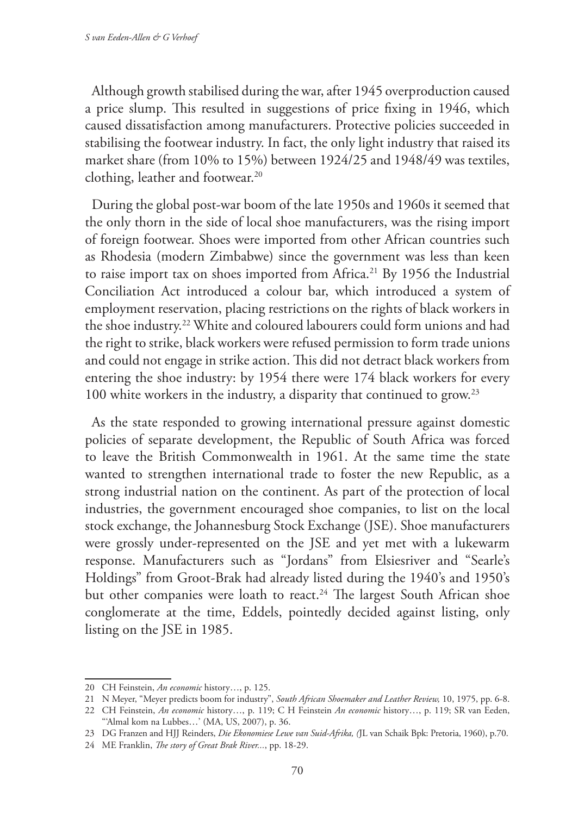Although growth stabilised during the war, after 1945 overproduction caused a price slump. This resulted in suggestions of price fixing in 1946, which caused dissatisfaction among manufacturers. Protective policies succeeded in stabilising the footwear industry. In fact, the only light industry that raised its market share (from 10% to 15%) between 1924/25 and 1948/49 was textiles, clothing, leather and footwear.20

During the global post-war boom of the late 1950s and 1960s it seemed that the only thorn in the side of local shoe manufacturers, was the rising import of foreign footwear. Shoes were imported from other African countries such as Rhodesia (modern Zimbabwe) since the government was less than keen to raise import tax on shoes imported from Africa.<sup>21</sup> By 1956 the Industrial Conciliation Act introduced a colour bar, which introduced a system of employment reservation, placing restrictions on the rights of black workers in the shoe industry.22 White and coloured labourers could form unions and had the right to strike, black workers were refused permission to form trade unions and could not engage in strike action. This did not detract black workers from entering the shoe industry: by 1954 there were 174 black workers for every 100 white workers in the industry, a disparity that continued to grow.23

As the state responded to growing international pressure against domestic policies of separate development, the Republic of South Africa was forced to leave the British Commonwealth in 1961. At the same time the state wanted to strengthen international trade to foster the new Republic, as a strong industrial nation on the continent. As part of the protection of local industries, the government encouraged shoe companies, to list on the local stock exchange, the Johannesburg Stock Exchange (JSE). Shoe manufacturers were grossly under-represented on the JSE and yet met with a lukewarm response. Manufacturers such as "Jordans" from Elsiesriver and "Searle's Holdings" from Groot-Brak had already listed during the 1940's and 1950's but other companies were loath to react.<sup>24</sup> The largest South African shoe conglomerate at the time, Eddels, pointedly decided against listing, only listing on the JSE in 1985.

<sup>20</sup> CH Feinstein, *An economic* history…, p. 125.

<sup>21</sup> N Meyer, "Meyer predicts boom for industry", *South African Shoemaker and Leather Review,* 10, 1975, pp. 6-8.

<sup>22</sup> CH Feinstein, *An economic* history…, p. 119; C H Feinstein *An economic* history…, p. 119; SR van Eeden, "'Almal kom na Lubbes…' (MA, US, 2007), p. 36.

<sup>23</sup> DG Franzen and HJJ Reinders, *Die Ekonomiese Lewe van Suid-Afrika, (*JL van Schaik Bpk: Pretoria, 1960), p.70.

<sup>24</sup> ME Franklin, *The story of Great Brak River...*, pp. 18-29.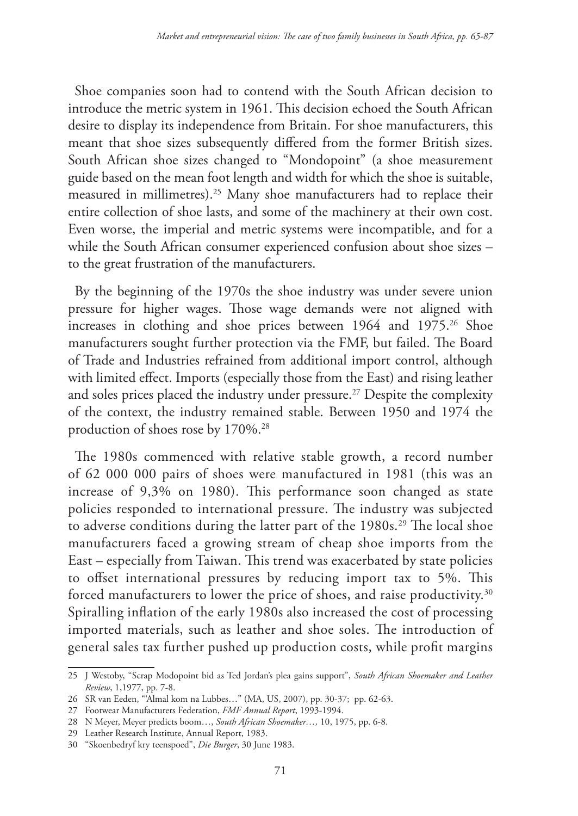Shoe companies soon had to contend with the South African decision to introduce the metric system in 1961. This decision echoed the South African desire to display its independence from Britain. For shoe manufacturers, this meant that shoe sizes subsequently differed from the former British sizes. South African shoe sizes changed to "Mondopoint" (a shoe measurement guide based on the mean foot length and width for which the shoe is suitable, measured in millimetres).25 Many shoe manufacturers had to replace their entire collection of shoe lasts, and some of the machinery at their own cost. Even worse, the imperial and metric systems were incompatible, and for a while the South African consumer experienced confusion about shoe sizes – to the great frustration of the manufacturers.

By the beginning of the 1970s the shoe industry was under severe union pressure for higher wages. Those wage demands were not aligned with increases in clothing and shoe prices between 1964 and 1975.<sup>26</sup> Shoe manufacturers sought further protection via the FMF, but failed. The Board of Trade and Industries refrained from additional import control, although with limited effect. Imports (especially those from the East) and rising leather and soles prices placed the industry under pressure.<sup>27</sup> Despite the complexity of the context, the industry remained stable. Between 1950 and 1974 the production of shoes rose by 170%.<sup>28</sup>

The 1980s commenced with relative stable growth, a record number of 62 000 000 pairs of shoes were manufactured in 1981 (this was an increase of 9,3% on 1980). This performance soon changed as state policies responded to international pressure. The industry was subjected to adverse conditions during the latter part of the 1980s.<sup>29</sup> The local shoe manufacturers faced a growing stream of cheap shoe imports from the East – especially from Taiwan. This trend was exacerbated by state policies to offset international pressures by reducing import tax to 5%. This forced manufacturers to lower the price of shoes, and raise productivity.<sup>30</sup> Spiralling inflation of the early 1980s also increased the cost of processing imported materials, such as leather and shoe soles. The introduction of general sales tax further pushed up production costs, while profit margins

<sup>25</sup> J Westoby, "Scrap Modopoint bid as Ted Jordan's plea gains support", *South African Shoemaker and Leather Review*, 1,1977, pp. 7-8.

<sup>26</sup> SR van Eeden, "'Almal kom na Lubbes…" (MA, US, 2007), pp. 30-37; pp. 62-63.

<sup>27</sup> Footwear Manufacturers Federation, *FMF Annual Report*, 1993-1994.

<sup>28</sup> N Meyer, Meyer predicts boom…, *South African Shoemaker…,* 10, 1975, pp. 6-8.

<sup>29</sup> Leather Research Institute, Annual Report, 1983.

<sup>30</sup> "Skoenbedryf kry teenspoed", *Die Burger*, 30 June 1983.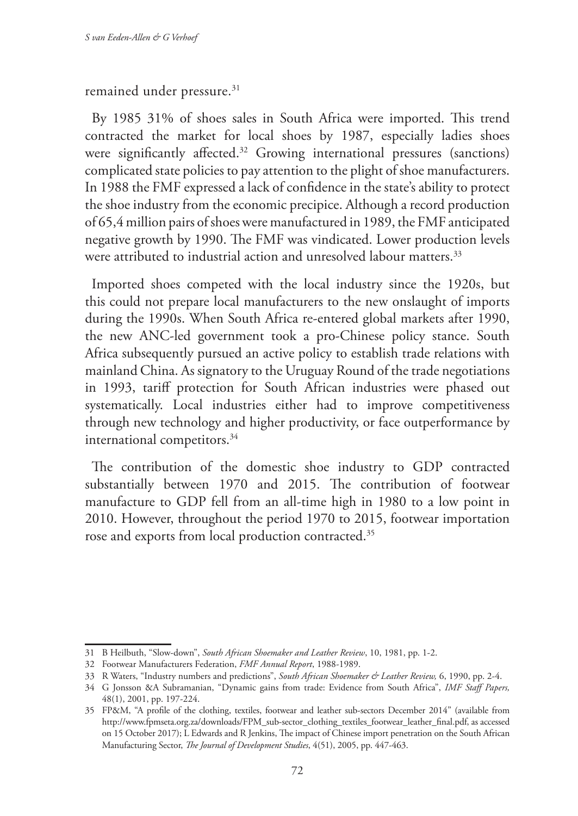remained under pressure.<sup>31</sup>

By 1985 31% of shoes sales in South Africa were imported. This trend contracted the market for local shoes by 1987, especially ladies shoes were significantly affected.<sup>32</sup> Growing international pressures (sanctions) complicated state policies to pay attention to the plight of shoe manufacturers. In 1988 the FMF expressed a lack of confidence in the state's ability to protect the shoe industry from the economic precipice. Although a record production of 65,4 million pairs of shoes were manufactured in 1989, the FMF anticipated negative growth by 1990. The FMF was vindicated. Lower production levels were attributed to industrial action and unresolved labour matters.<sup>33</sup>

Imported shoes competed with the local industry since the 1920s, but this could not prepare local manufacturers to the new onslaught of imports during the 1990s. When South Africa re-entered global markets after 1990, the new ANC-led government took a pro-Chinese policy stance. South Africa subsequently pursued an active policy to establish trade relations with mainland China. As signatory to the Uruguay Round of the trade negotiations in 1993, tariff protection for South African industries were phased out systematically. Local industries either had to improve competitiveness through new technology and higher productivity, or face outperformance by international competitors.<sup>34</sup>

The contribution of the domestic shoe industry to GDP contracted substantially between 1970 and 2015. The contribution of footwear manufacture to GDP fell from an all-time high in 1980 to a low point in 2010. However, throughout the period 1970 to 2015, footwear importation rose and exports from local production contracted.35

<sup>31</sup> B Heilbuth, "Slow-down", *South African Shoemaker and Leather Review*, 10, 1981, pp. 1-2.

<sup>32</sup> Footwear Manufacturers Federation, *FMF Annual Report*, 1988-1989.

<sup>33</sup> R Waters, "Industry numbers and predictions", *South African Shoemaker & Leather Review,* 6, 1990, pp. 2-4.

<sup>34</sup> G Jonsson &A Subramanian, "Dynamic gains from trade: Evidence from South Africa", *IMF Staff Papers,*  48(1), 2001, pp. 197-224.

<sup>35</sup> FP&M, "A profile of the clothing, textiles, footwear and leather sub-sectors December 2014" (available from http://www.fpmseta.org.za/downloads/FPM\_sub-sector\_clothing\_textiles\_footwear\_leather\_final.pdf, as accessed on 15 October 2017); L Edwards and R Jenkins, The impact of Chinese import penetration on the South African Manufacturing Sector, *The Journal of Development Studies*, 4(51), 2005, pp. 447-463.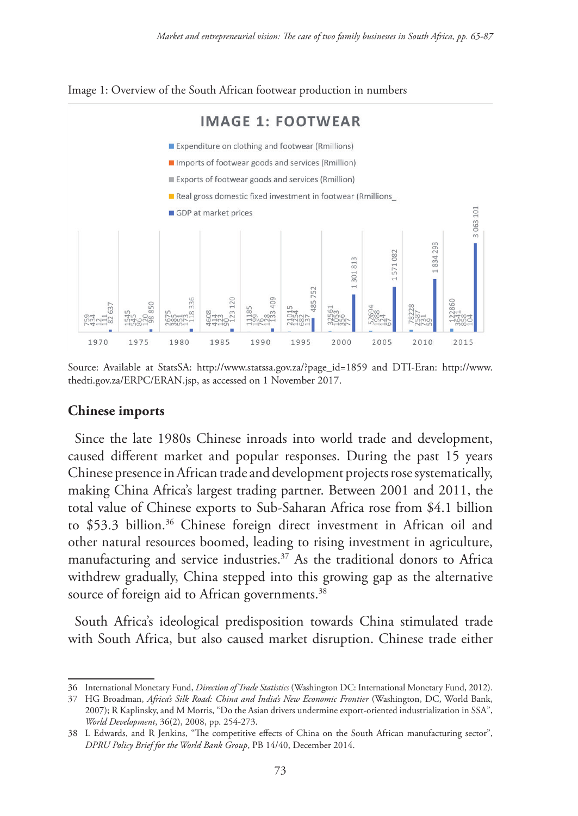

Image 1: Overview of the South African footwear production in numbers

Source: Available at StatsSA: http://www.statssa.gov.za/?page\_id=1859 and DTI-Eran: http://www. thedti.gov.za/ERPC/ERAN.jsp, as accessed on 1 November 2017.

#### **Chinese imports**

Since the late 1980s Chinese inroads into world trade and development, caused different market and popular responses. During the past 15 years Chinese presence in African trade and development projects rose systematically, making China Africa's largest trading partner. Between 2001 and 2011, the total value of Chinese exports to Sub-Saharan Africa rose from \$4.1 billion to \$53.3 billion.<sup>36</sup> Chinese foreign direct investment in African oil and other natural resources boomed, leading to rising investment in agriculture, manufacturing and service industries.37 As the traditional donors to Africa withdrew gradually, China stepped into this growing gap as the alternative source of foreign aid to African governments.<sup>38</sup>

South Africa's ideological predisposition towards China stimulated trade with South Africa, but also caused market disruption. Chinese trade either

<sup>36</sup> International Monetary Fund, *Direction of Trade Statistics* (Washington DC: International Monetary Fund, 2012).

<sup>37</sup> HG Broadman, *Africa's Silk Road: China and India's New Economic Frontier* (Washington, DC, World Bank, 2007); R Kaplinsky, and M Morris, "Do the Asian drivers undermine export-oriented industrialization in SSA", *World Development*, 36(2), 2008, pp. 254-273.

<sup>38</sup> L Edwards, and R Jenkins, "The competitive effects of China on the South African manufacturing sector", *DPRU Policy Brief for the World Bank Group*, PB 14/40, December 2014.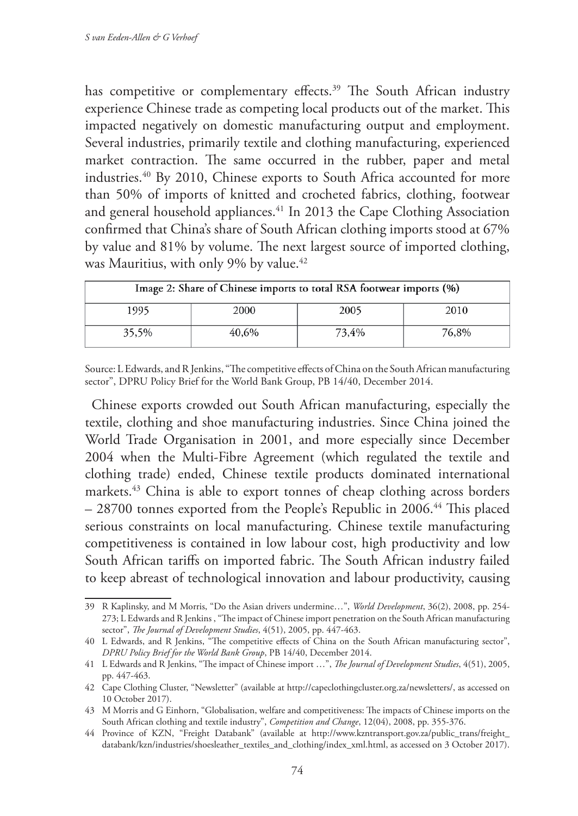has competitive or complementary effects.<sup>39</sup> The South African industry experience Chinese trade as competing local products out of the market. This impacted negatively on domestic manufacturing output and employment. Several industries, primarily textile and clothing manufacturing, experienced market contraction. The same occurred in the rubber, paper and metal industries.40 By 2010, Chinese exports to South Africa accounted for more than 50% of imports of knitted and crocheted fabrics, clothing, footwear and general household appliances.<sup>41</sup> In 2013 the Cape Clothing Association confirmed that China's share of South African clothing imports stood at 67% by value and 81% by volume. The next largest source of imported clothing, was Mauritius, with only 9% by value.<sup>42</sup>

| Image 2: Share of Chinese imports to total RSA footwear imports (%) |       |       |       |
|---------------------------------------------------------------------|-------|-------|-------|
| 1995                                                                | 2000  | 2005  | 2010  |
| 35,5%                                                               | 40,6% | 73,4% | 76,8% |

Source: L Edwards, and R Jenkins, "The competitive effects of China on the South African manufacturing sector", DPRU Policy Brief for the World Bank Group, PB 14/40, December 2014.

Chinese exports crowded out South African manufacturing, especially the textile, clothing and shoe manufacturing industries. Since China joined the World Trade Organisation in 2001, and more especially since December 2004 when the Multi-Fibre Agreement (which regulated the textile and clothing trade) ended, Chinese textile products dominated international markets.43 China is able to export tonnes of cheap clothing across borders – 28700 tonnes exported from the People's Republic in 2006.44 This placed serious constraints on local manufacturing. Chinese textile manufacturing competitiveness is contained in low labour cost, high productivity and low South African tariffs on imported fabric. The South African industry failed to keep abreast of technological innovation and labour productivity, causing

<sup>39</sup> R Kaplinsky, and M Morris, "Do the Asian drivers undermine…", *World Development*, 36(2), 2008, pp. 254- 273; L Edwards and R Jenkins , "The impact of Chinese import penetration on the South African manufacturing sector", *The Journal of Development Studies*, 4(51), 2005, pp. 447-463.

<sup>40</sup> L Edwards, and R Jenkins, "The competitive effects of China on the South African manufacturing sector", *DPRU Policy Brief for the World Bank Group*, PB 14/40, December 2014.

<sup>41</sup> L Edwards and R Jenkins, "The impact of Chinese import …", *The Journal of Development Studies*, 4(51), 2005, pp. 447-463.

<sup>42</sup> Cape Clothing Cluster, "Newsletter" (available at http://capeclothingcluster.org.za/newsletters/, as accessed on 10 October 2017).

<sup>43</sup> M Morris and G Einhorn, "Globalisation, welfare and competitiveness: The impacts of Chinese imports on the South African clothing and textile industry", *Competition and Change*, 12(04), 2008, pp. 355-376.

<sup>44</sup> Province of KZN, "Freight Databank" (available at http://www.kzntransport.gov.za/public\_trans/freight\_ databank/kzn/industries/shoesleather\_textiles\_and\_clothing/index\_xml.html, as accessed on 3 October 2017).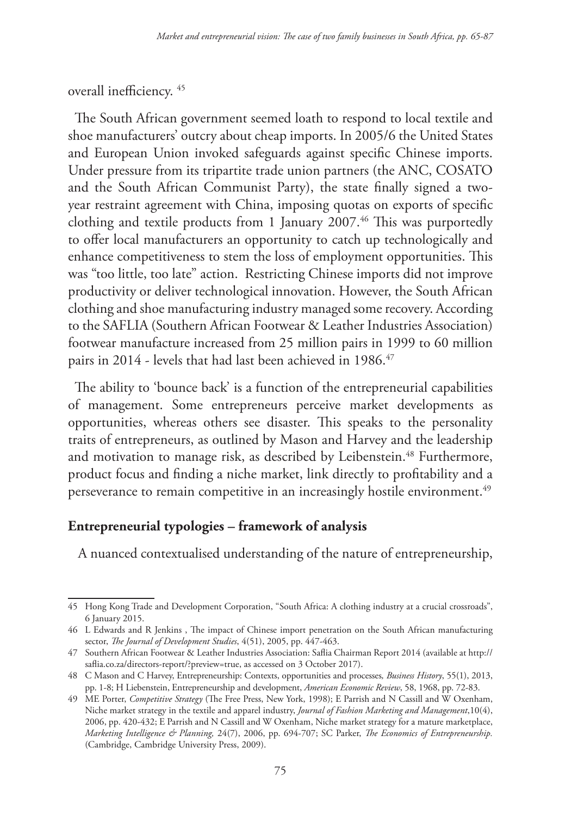overall inefficiency. 45

The South African government seemed loath to respond to local textile and shoe manufacturers' outcry about cheap imports. In 2005/6 the United States and European Union invoked safeguards against specific Chinese imports. Under pressure from its tripartite trade union partners (the ANC, COSATO and the South African Communist Party), the state finally signed a twoyear restraint agreement with China, imposing quotas on exports of specific clothing and textile products from 1 January 2007.<sup>46</sup> This was purportedly to offer local manufacturers an opportunity to catch up technologically and enhance competitiveness to stem the loss of employment opportunities. This was "too little, too late" action. Restricting Chinese imports did not improve productivity or deliver technological innovation. However, the South African clothing and shoe manufacturing industry managed some recovery. According to the SAFLIA (Southern African Footwear & Leather Industries Association) footwear manufacture increased from 25 million pairs in 1999 to 60 million pairs in 2014 - levels that had last been achieved in 1986.<sup>47</sup>

The ability to 'bounce back' is a function of the entrepreneurial capabilities of management. Some entrepreneurs perceive market developments as opportunities, whereas others see disaster. This speaks to the personality traits of entrepreneurs, as outlined by Mason and Harvey and the leadership and motivation to manage risk, as described by Leibenstein.<sup>48</sup> Furthermore, product focus and finding a niche market, link directly to profitability and a perseverance to remain competitive in an increasingly hostile environment.<sup>49</sup>

### **Entrepreneurial typologies – framework of analysis**

A nuanced contextualised understanding of the nature of entrepreneurship,

<sup>45</sup> Hong Kong Trade and Development Corporation, "South Africa: A clothing industry at a crucial crossroads", 6 January 2015.

<sup>46</sup> L Edwards and R Jenkins , The impact of Chinese import penetration on the South African manufacturing sector, *The Journal of Development Studies*, 4(51), 2005, pp. 447-463.

<sup>47</sup> Southern African Footwear & Leather Industries Association: Saflia Chairman Report 2014 (available at http:// saflia.co.za/directors-report/?preview=true, as accessed on 3 October 2017).

<sup>48</sup> C Mason and C Harvey, Entrepreneurship: Contexts, opportunities and processes*, Business History*, 55(1), 2013, pp. 1-8; H Liebenstein, Entrepreneurship and development, *American Economic Review*, 58, 1968, pp. 72-83.

<sup>49</sup> ME Porter, *Competitive Strategy* (The Free Press, New York, 1998); E Parrish and N Cassill and W Oxenham, Niche market strategy in the textile and apparel industry, *Journal of Fashion Marketing and Management*,10(4), 2006, pp. 420-432; E Parrish and N Cassill and W Oxenham, Niche market strategy for a mature marketplace, *Marketing Intelligence & Planning,* 24(7), 2006, pp. 694-707; SC Parker, *The Economics of Entrepreneurship.* (Cambridge, Cambridge University Press, 2009).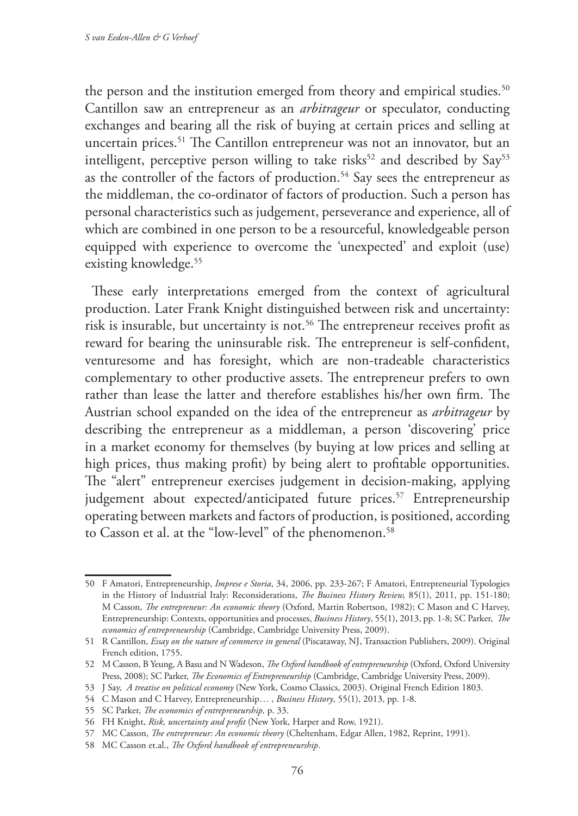the person and the institution emerged from theory and empirical studies.<sup>50</sup> Cantillon saw an entrepreneur as an *arbitrageur* or speculator, conducting exchanges and bearing all the risk of buying at certain prices and selling at uncertain prices.<sup>51</sup> The Cantillon entrepreneur was not an innovator, but an intelligent, perceptive person willing to take risks<sup>52</sup> and described by  $Say<sup>53</sup>$ as the controller of the factors of production.<sup>54</sup> Say sees the entrepreneur as the middleman, the co-ordinator of factors of production. Such a person has personal characteristics such as judgement, perseverance and experience, all of which are combined in one person to be a resourceful, knowledgeable person equipped with experience to overcome the 'unexpected' and exploit (use) existing knowledge.<sup>55</sup>

These early interpretations emerged from the context of agricultural production. Later Frank Knight distinguished between risk and uncertainty: risk is insurable, but uncertainty is not.<sup>56</sup> The entrepreneur receives profit as reward for bearing the uninsurable risk. The entrepreneur is self-confident, venturesome and has foresight, which are non-tradeable characteristics complementary to other productive assets. The entrepreneur prefers to own rather than lease the latter and therefore establishes his/her own firm. The Austrian school expanded on the idea of the entrepreneur as *arbitrageur* by describing the entrepreneur as a middleman, a person 'discovering' price in a market economy for themselves (by buying at low prices and selling at high prices, thus making profit) by being alert to profitable opportunities. The "alert" entrepreneur exercises judgement in decision-making, applying judgement about expected/anticipated future prices.<sup>57</sup> Entrepreneurship operating between markets and factors of production, is positioned, according to Casson et al. at the "low-level" of the phenomenon.<sup>58</sup>

<sup>50</sup> F Amatori, Entrepreneurship, *Imprese e Storia*, 34, 2006, pp. 233-267; F Amatori, Entrepreneurial Typologies in the History of Industrial Italy: Reconsiderations, *The Business History Review,* 85(1), 2011, pp. 151-180; M Casson, *The entrepreneur: An economic theory* (Oxford, Martin Robertson, 1982); C Mason and C Harvey, Entrepreneurship: Contexts, opportunities and processes, *Business History*, 55(1), 2013, pp. 1-8; SC Parker, *The economics of entrepreneurship* (Cambridge, Cambridge University Press, 2009).

<sup>51</sup> R Cantillon, *Essay on the nature of commerce in general* (Piscataway, NJ, Transaction Publishers, 2009). Original French edition, 1755.

<sup>52</sup> M Casson, B Yeung, A Basu and N Wadeson, *The Oxford handbook of entrepreneurship* (Oxford, Oxford University Press, 2008); SC Parker, *The Economics of Entrepreneurship* (Cambridge, Cambridge University Press, 2009).

<sup>53</sup> J Say, *A treatise on political economy* (New York, Cosmo Classics, 2003). Original French Edition 1803.

<sup>54</sup> C Mason and C Harvey, Entrepreneurship… , *Business History*, 55(1), 2013, pp. 1-8.

<sup>55</sup> SC Parker, *The economics of entrepreneurship,* p. 33.

<sup>56</sup> FH Knight, *Risk, uncertainty and profit* (New York, Harper and Row, 1921).

<sup>57</sup> MC Casson, *The entrepreneur: An economic theory* (Cheltenham, Edgar Allen, 1982, Reprint, 1991).

<sup>58</sup> MC Casson et.al., *The Oxford handbook of entrepreneurship*.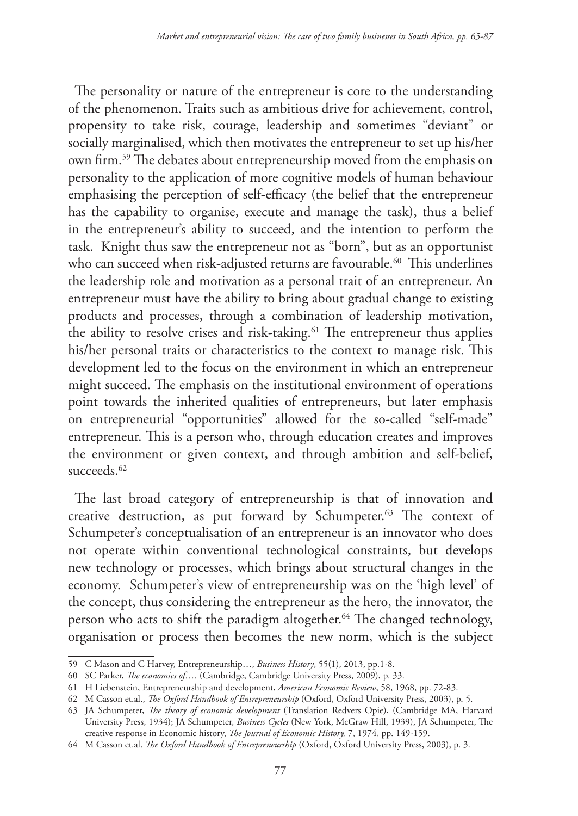The personality or nature of the entrepreneur is core to the understanding of the phenomenon. Traits such as ambitious drive for achievement, control, propensity to take risk, courage, leadership and sometimes "deviant" or socially marginalised, which then motivates the entrepreneur to set up his/her own firm.59 The debates about entrepreneurship moved from the emphasis on personality to the application of more cognitive models of human behaviour emphasising the perception of self-efficacy (the belief that the entrepreneur has the capability to organise, execute and manage the task), thus a belief in the entrepreneur's ability to succeed, and the intention to perform the task. Knight thus saw the entrepreneur not as "born", but as an opportunist who can succeed when risk-adjusted returns are favourable.<sup>60</sup> This underlines the leadership role and motivation as a personal trait of an entrepreneur. An entrepreneur must have the ability to bring about gradual change to existing products and processes, through a combination of leadership motivation, the ability to resolve crises and risk-taking.<sup>61</sup> The entrepreneur thus applies his/her personal traits or characteristics to the context to manage risk. This development led to the focus on the environment in which an entrepreneur might succeed. The emphasis on the institutional environment of operations point towards the inherited qualities of entrepreneurs, but later emphasis on entrepreneurial "opportunities" allowed for the so-called "self-made" entrepreneur. This is a person who, through education creates and improves the environment or given context, and through ambition and self-belief, succeeds.<sup>62</sup>

The last broad category of entrepreneurship is that of innovation and creative destruction, as put forward by Schumpeter.<sup>63</sup> The context of Schumpeter's conceptualisation of an entrepreneur is an innovator who does not operate within conventional technological constraints, but develops new technology or processes, which brings about structural changes in the economy. Schumpeter's view of entrepreneurship was on the 'high level' of the concept, thus considering the entrepreneur as the hero, the innovator, the person who acts to shift the paradigm altogether.64 The changed technology, organisation or process then becomes the new norm, which is the subject

<sup>59</sup> C Mason and C Harvey, Entrepreneurship…, *Business History*, 55(1), 2013, pp.1-8.

<sup>60</sup> SC Parker, *The economics of….* (Cambridge, Cambridge University Press, 2009), p. 33.

<sup>61</sup> H Liebenstein, Entrepreneurship and development, *American Economic Review*, 58, 1968, pp. 72-83.

<sup>62</sup> M Casson et.al., *The Oxford Handbook of Entrepreneurship* (Oxford, Oxford University Press, 2003), p. 5.

<sup>63</sup> JA Schumpeter, *The theory of economic development* (Translation Redvers Opie), (Cambridge MA, Harvard University Press, 1934); JA Schumpeter, *Business Cycles* (New York, McGraw Hill, 1939), JA Schumpeter, The creative response in Economic history, *The Journal of Economic History,* 7, 1974, pp. 149-159.

<sup>64</sup> M Casson et.al. *The Oxford Handbook of Entrepreneurship* (Oxford, Oxford University Press, 2003), p. 3.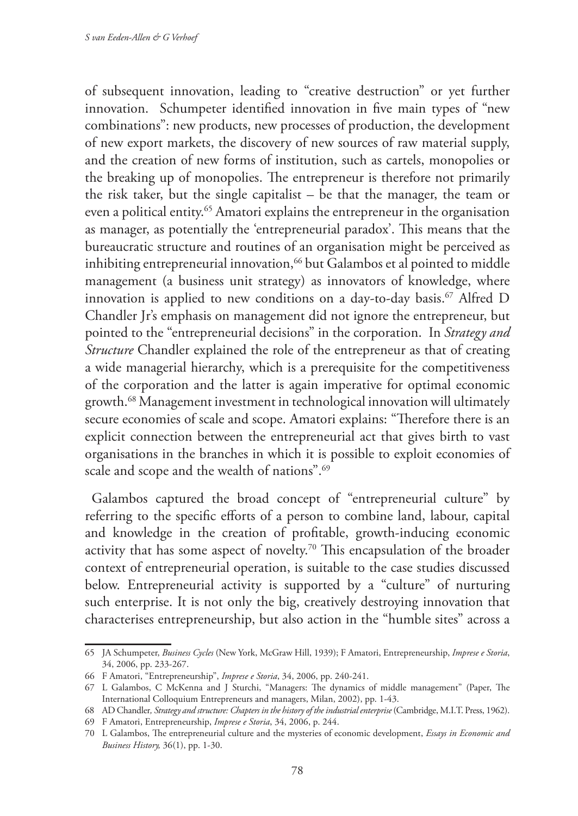of subsequent innovation, leading to "creative destruction" or yet further innovation. Schumpeter identified innovation in five main types of "new combinations": new products, new processes of production, the development of new export markets, the discovery of new sources of raw material supply, and the creation of new forms of institution, such as cartels, monopolies or the breaking up of monopolies. The entrepreneur is therefore not primarily the risk taker, but the single capitalist – be that the manager, the team or even a political entity.65 Amatori explains the entrepreneur in the organisation as manager, as potentially the 'entrepreneurial paradox'. This means that the bureaucratic structure and routines of an organisation might be perceived as inhibiting entrepreneurial innovation,<sup>66</sup> but Galambos et al pointed to middle management (a business unit strategy) as innovators of knowledge, where innovation is applied to new conditions on a day-to-day basis.<sup>67</sup> Alfred D Chandler Jr's emphasis on management did not ignore the entrepreneur, but pointed to the "entrepreneurial decisions" in the corporation. In *Strategy and Structure* Chandler explained the role of the entrepreneur as that of creating a wide managerial hierarchy, which is a prerequisite for the competitiveness of the corporation and the latter is again imperative for optimal economic growth.68 Management investment in technological innovation will ultimately secure economies of scale and scope. Amatori explains: "Therefore there is an explicit connection between the entrepreneurial act that gives birth to vast organisations in the branches in which it is possible to exploit economies of scale and scope and the wealth of nations".69

Galambos captured the broad concept of "entrepreneurial culture" by referring to the specific efforts of a person to combine land, labour, capital and knowledge in the creation of profitable, growth-inducing economic activity that has some aspect of novelty.70 This encapsulation of the broader context of entrepreneurial operation, is suitable to the case studies discussed below. Entrepreneurial activity is supported by a "culture" of nurturing such enterprise. It is not only the big, creatively destroying innovation that characterises entrepreneurship, but also action in the "humble sites" across a

<sup>65</sup> JA Schumpeter, *Business Cycles* (New York, McGraw Hill, 1939); F Amatori, Entrepreneurship, *Imprese e Storia*, 34, 2006, pp. 233-267.

<sup>66</sup> F Amatori, "Entrepreneurship", *Imprese e Storia*, 34, 2006, pp. 240-241.

<sup>67</sup> L Galambos, C McKenna and J Sturchi, "Managers: The dynamics of middle management" (Paper, The International Colloquium Entrepreneurs and managers, Milan, 2002), pp. 1-43.

<sup>68</sup> AD Chandler*, Strategy and structure: Chapters in the history of the industrial enterprise* (Cambridge, M.I.T. Press, 1962).

<sup>69</sup> F Amatori, Entrepreneurship, *Imprese e Storia*, 34, 2006, p. 244.

<sup>70</sup> L Galambos, The entrepreneurial culture and the mysteries of economic development, *Essays in Economic and Business History,* 36(1), pp. 1-30.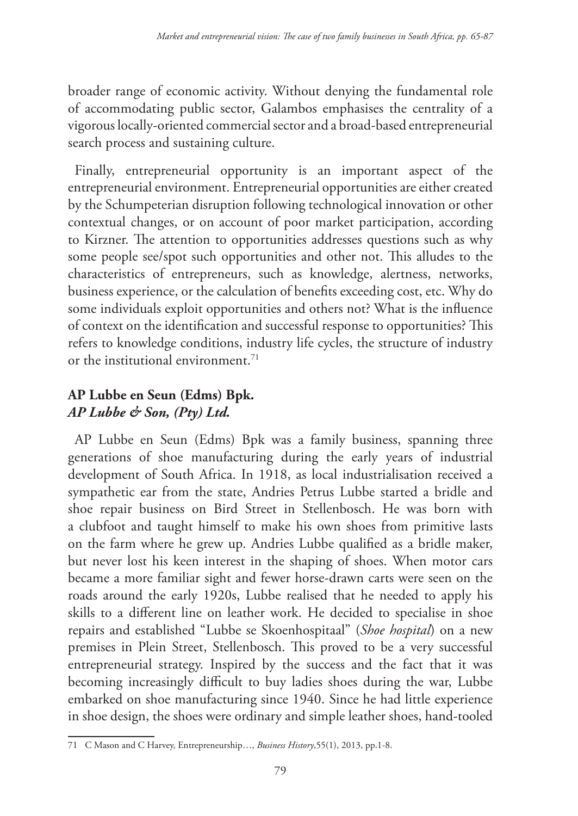broader range of economic activity. Without denying the fundamental role of accommodating public sector, Galambos emphasises the centrality of a vigorous locally-oriented commercial sector and a broad-based entrepreneurial search process and sustaining culture.

Finally, entrepreneurial opportunity is an important aspect of the entrepreneurial environment. Entrepreneurial opportunities are either created by the Schumpeterian disruption following technological innovation or other contextual changes, or on account of poor market participation, according to Kirzner. The attention to opportunities addresses questions such as why some people see/spot such opportunities and other not. This alludes to the characteristics of entrepreneurs, such as knowledge, alertness, networks, business experience, or the calculation of benefits exceeding cost, etc. Why do some individuals exploit opportunities and others not? What is the influence of context on the identification and successful response to opportunities? This refers to knowledge conditions, industry life cycles, the structure of industry or the institutional environment.<sup>71</sup>

## **AP Lubbe en Seun (Edms) Bpk.** *AP Lubbe & Son, (Pty) Ltd.*

AP Lubbe en Seun (Edms) Bpk was a family business, spanning three generations of shoe manufacturing during the early years of industrial development of South Africa. In 1918, as local industrialisation received a sympathetic ear from the state, Andries Petrus Lubbe started a bridle and shoe repair business on Bird Street in Stellenbosch. He was born with a clubfoot and taught himself to make his own shoes from primitive lasts on the farm where he grew up. Andries Lubbe qualified as a bridle maker, but never lost his keen interest in the shaping of shoes. When motor cars became a more familiar sight and fewer horse-drawn carts were seen on the roads around the early 1920s, Lubbe realised that he needed to apply his skills to a different line on leather work. He decided to specialise in shoe repairs and established "Lubbe se Skoenhospitaal" (*Shoe hospital*) on a new premises in Plein Street, Stellenbosch. This proved to be a very successful entrepreneurial strategy. Inspired by the success and the fact that it was becoming increasingly difficult to buy ladies shoes during the war, Lubbe embarked on shoe manufacturing since 1940. Since he had little experience in shoe design, the shoes were ordinary and simple leather shoes, hand-tooled

<sup>71</sup> C Mason and C Harvey, Entrepreneurship…, *Business History*,55(1), 2013, pp.1-8.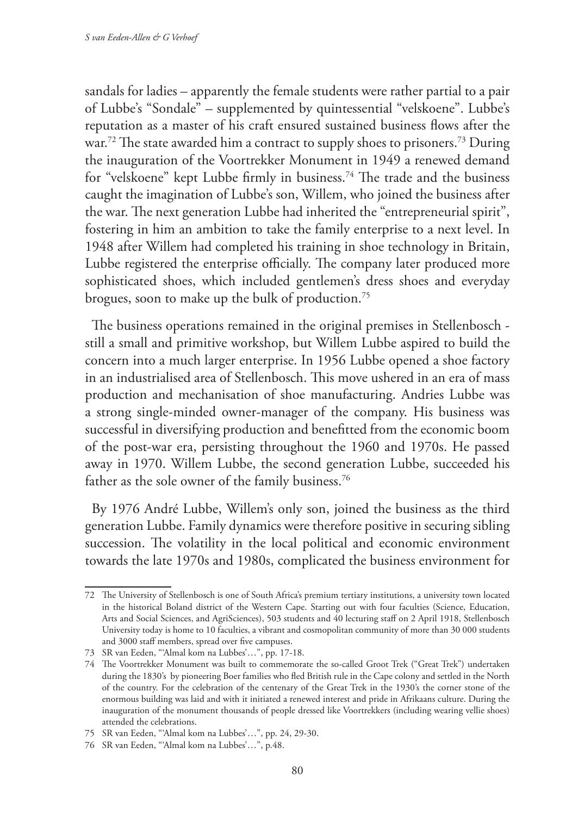sandals for ladies – apparently the female students were rather partial to a pair of Lubbe's "Sondale" – supplemented by quintessential "velskoene". Lubbe's reputation as a master of his craft ensured sustained business flows after the war.<sup>72</sup> The state awarded him a contract to supply shoes to prisoners.<sup>73</sup> During the inauguration of the Voortrekker Monument in 1949 a renewed demand for "velskoene" kept Lubbe firmly in business.74 The trade and the business caught the imagination of Lubbe's son, Willem, who joined the business after the war. The next generation Lubbe had inherited the "entrepreneurial spirit", fostering in him an ambition to take the family enterprise to a next level. In 1948 after Willem had completed his training in shoe technology in Britain, Lubbe registered the enterprise officially. The company later produced more sophisticated shoes, which included gentlemen's dress shoes and everyday brogues, soon to make up the bulk of production.75

The business operations remained in the original premises in Stellenbosch still a small and primitive workshop, but Willem Lubbe aspired to build the concern into a much larger enterprise. In 1956 Lubbe opened a shoe factory in an industrialised area of Stellenbosch. This move ushered in an era of mass production and mechanisation of shoe manufacturing. Andries Lubbe was a strong single-minded owner-manager of the company. His business was successful in diversifying production and benefitted from the economic boom of the post-war era, persisting throughout the 1960 and 1970s. He passed away in 1970. Willem Lubbe, the second generation Lubbe, succeeded his father as the sole owner of the family business.<sup>76</sup>

By 1976 André Lubbe, Willem's only son, joined the business as the third generation Lubbe. Family dynamics were therefore positive in securing sibling succession. The volatility in the local political and economic environment towards the late 1970s and 1980s, complicated the business environment for

<sup>72</sup> The University of Stellenbosch is one of South Africa's premium tertiary institutions, a university town located in the historical Boland district of the Western Cape. Starting out with four faculties (Science, Education, Arts and Social Sciences, and AgriSciences), 503 students and 40 lecturing staff on 2 April 1918, Stellenbosch University today is home to 10 faculties, a vibrant and cosmopolitan community of more than 30 000 students and 3000 staff members, spread over five campuses.

<sup>73</sup> SR van Eeden, "'Almal kom na Lubbes'…", pp. 17-18.

<sup>74</sup> The Voortrekker Monument was built to commemorate the so-called Groot Trek ("Great Trek") undertaken during the 1830's by pioneering Boer families who fled British rule in the Cape colony and settled in the North of the country. For the celebration of the centenary of the Great Trek in the 1930's the corner stone of the enormous building was laid and with it initiated a renewed interest and pride in Afrikaans culture. During the inauguration of the monument thousands of people dressed like Voortrekkers (including wearing vellie shoes) attended the celebrations.

<sup>75</sup> SR van Eeden, "'Almal kom na Lubbes'…", pp. 24, 29-30.

<sup>76</sup> SR van Eeden, "'Almal kom na Lubbes'…", p.48.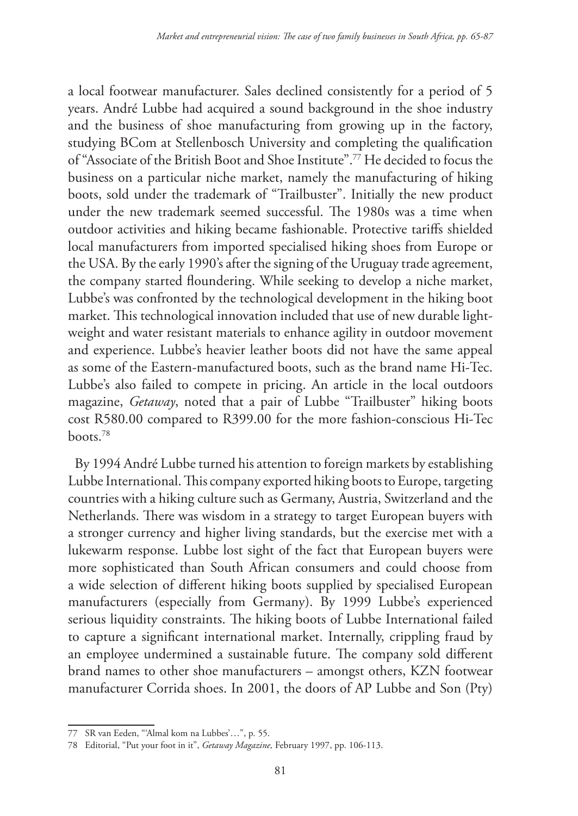a local footwear manufacturer. Sales declined consistently for a period of 5 years. André Lubbe had acquired a sound background in the shoe industry and the business of shoe manufacturing from growing up in the factory, studying BCom at Stellenbosch University and completing the qualification of "Associate of the British Boot and Shoe Institute".77 He decided to focus the business on a particular niche market, namely the manufacturing of hiking boots, sold under the trademark of "Trailbuster". Initially the new product under the new trademark seemed successful. The 1980s was a time when outdoor activities and hiking became fashionable. Protective tariffs shielded local manufacturers from imported specialised hiking shoes from Europe or the USA. By the early 1990's after the signing of the Uruguay trade agreement, the company started floundering. While seeking to develop a niche market, Lubbe's was confronted by the technological development in the hiking boot market. This technological innovation included that use of new durable lightweight and water resistant materials to enhance agility in outdoor movement and experience. Lubbe's heavier leather boots did not have the same appeal as some of the Eastern-manufactured boots, such as the brand name Hi-Tec. Lubbe's also failed to compete in pricing. An article in the local outdoors magazine, *Getaway*, noted that a pair of Lubbe "Trailbuster" hiking boots cost R580.00 compared to R399.00 for the more fashion-conscious Hi-Tec boots.78

By 1994 André Lubbe turned his attention to foreign markets by establishing Lubbe International. This company exported hiking boots to Europe, targeting countries with a hiking culture such as Germany, Austria, Switzerland and the Netherlands. There was wisdom in a strategy to target European buyers with a stronger currency and higher living standards, but the exercise met with a lukewarm response. Lubbe lost sight of the fact that European buyers were more sophisticated than South African consumers and could choose from a wide selection of different hiking boots supplied by specialised European manufacturers (especially from Germany). By 1999 Lubbe's experienced serious liquidity constraints. The hiking boots of Lubbe International failed to capture a significant international market. Internally, crippling fraud by an employee undermined a sustainable future. The company sold different brand names to other shoe manufacturers – amongst others, KZN footwear manufacturer Corrida shoes. In 2001, the doors of AP Lubbe and Son (Pty)

<sup>77</sup> SR van Eeden, "'Almal kom na Lubbes'…", p. 55.

<sup>78</sup> Editorial, "Put your foot in it", *Getaway Magazine,* February 1997, pp. 106-113.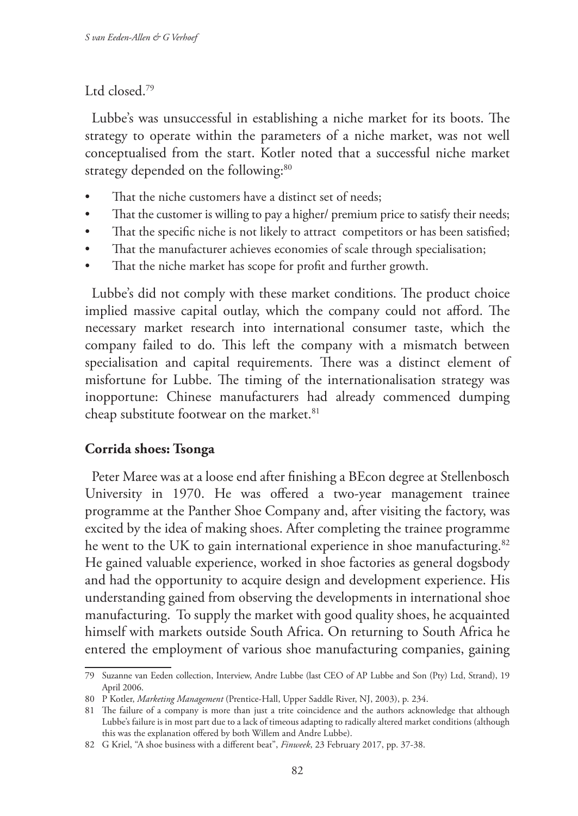#### Ltd closed.79

Lubbe's was unsuccessful in establishing a niche market for its boots. The strategy to operate within the parameters of a niche market, was not well conceptualised from the start. Kotler noted that a successful niche market strategy depended on the following:<sup>80</sup>

- That the niche customers have a distinct set of needs:
- That the customer is willing to pay a higher/ premium price to satisfy their needs;
- That the specific niche is not likely to attract competitors or has been satisfied;
- That the manufacturer achieves economies of scale through specialisation;
- That the niche market has scope for profit and further growth.

Lubbe's did not comply with these market conditions. The product choice implied massive capital outlay, which the company could not afford. The necessary market research into international consumer taste, which the company failed to do. This left the company with a mismatch between specialisation and capital requirements. There was a distinct element of misfortune for Lubbe. The timing of the internationalisation strategy was inopportune: Chinese manufacturers had already commenced dumping cheap substitute footwear on the market.<sup>81</sup>

### **Corrida shoes: Tsonga**

Peter Maree was at a loose end after finishing a BEcon degree at Stellenbosch University in 1970. He was offered a two-year management trainee programme at the Panther Shoe Company and, after visiting the factory, was excited by the idea of making shoes. After completing the trainee programme he went to the UK to gain international experience in shoe manufacturing.<sup>82</sup> He gained valuable experience, worked in shoe factories as general dogsbody and had the opportunity to acquire design and development experience. His understanding gained from observing the developments in international shoe manufacturing. To supply the market with good quality shoes, he acquainted himself with markets outside South Africa. On returning to South Africa he entered the employment of various shoe manufacturing companies, gaining

<sup>79</sup> Suzanne van Eeden collection, Interview, Andre Lubbe (last CEO of AP Lubbe and Son (Pty) Ltd, Strand), 19 April 2006.

<sup>80</sup> P Kotler, *Marketing Management* (Prentice-Hall, Upper Saddle River, NJ, 2003), p. 234.

<sup>81</sup> The failure of a company is more than just a trite coincidence and the authors acknowledge that although Lubbe's failure is in most part due to a lack of timeous adapting to radically altered market conditions (although this was the explanation offered by both Willem and Andre Lubbe).

<sup>82</sup> G Kriel, "A shoe business with a different beat", *Finweek*, 23 February 2017, pp. 37-38.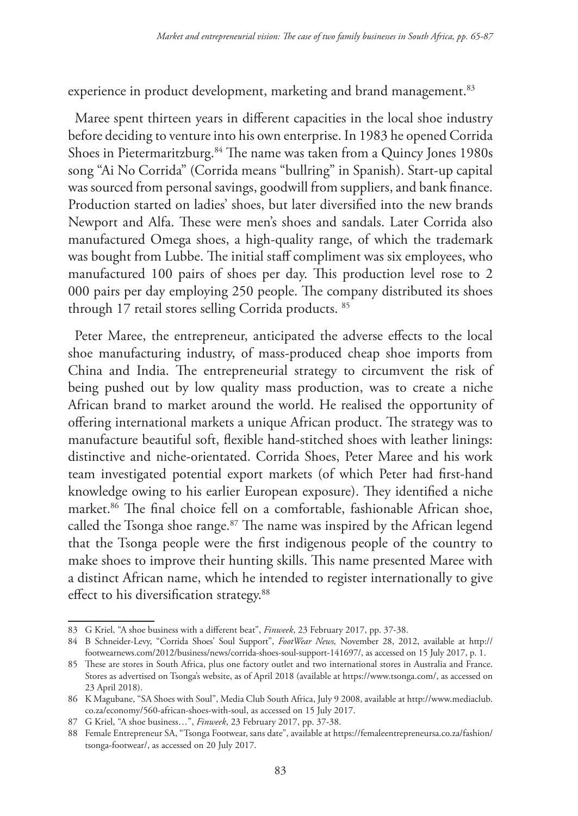experience in product development, marketing and brand management.<sup>83</sup>

Maree spent thirteen years in different capacities in the local shoe industry before deciding to venture into his own enterprise. In 1983 he opened Corrida Shoes in Pietermaritzburg.<sup>84</sup> The name was taken from a Quincy Jones 1980s song "Ai No Corrida" (Corrida means "bullring" in Spanish). Start-up capital was sourced from personal savings, goodwill from suppliers, and bank finance. Production started on ladies' shoes, but later diversified into the new brands Newport and Alfa. These were men's shoes and sandals. Later Corrida also manufactured Omega shoes, a high-quality range, of which the trademark was bought from Lubbe. The initial staff compliment was six employees, who manufactured 100 pairs of shoes per day. This production level rose to 2 000 pairs per day employing 250 people. The company distributed its shoes through 17 retail stores selling Corrida products. 85

Peter Maree, the entrepreneur, anticipated the adverse effects to the local shoe manufacturing industry, of mass-produced cheap shoe imports from China and India. The entrepreneurial strategy to circumvent the risk of being pushed out by low quality mass production, was to create a niche African brand to market around the world. He realised the opportunity of offering international markets a unique African product. The strategy was to manufacture beautiful soft, flexible hand-stitched shoes with leather linings: distinctive and niche-orientated. Corrida Shoes, Peter Maree and his work team investigated potential export markets (of which Peter had first-hand knowledge owing to his earlier European exposure). They identified a niche market.86 The final choice fell on a comfortable, fashionable African shoe, called the Tsonga shoe range. $87$  The name was inspired by the African legend that the Tsonga people were the first indigenous people of the country to make shoes to improve their hunting skills. This name presented Maree with a distinct African name, which he intended to register internationally to give effect to his diversification strategy.<sup>88</sup>

<sup>83</sup> G Kriel, "A shoe business with a different beat", *Finweek*, 23 February 2017, pp. 37-38.

<sup>84</sup> B Schneider-Levy, "Corrida Shoes' Soul Support", *FootWear News,* November 28, 2012, available at http:// footwearnews.com/2012/business/news/corrida-shoes-soul-support-141697/, as accessed on 15 July 2017, p. 1.

<sup>85</sup> These are stores in South Africa, plus one factory outlet and two international stores in Australia and France. Stores as advertised on Tsonga's website, as of April 2018 (available at https://www.tsonga.com/, as accessed on 23 April 2018).

<sup>86</sup> K Magubane, "SA Shoes with Soul", Media Club South Africa, July 9 2008, available at http://www.mediaclub. co.za/economy/560-african-shoes-with-soul, as accessed on 15 July 2017.

<sup>87</sup> G Kriel, "A shoe business…", *Finweek*, 23 February 2017, pp. 37-38.

<sup>88</sup> Female Entrepreneur SA, "Tsonga Footwear, sans date", available at https://femaleentrepreneursa.co.za/fashion/ tsonga-footwear/, as accessed on 20 July 2017.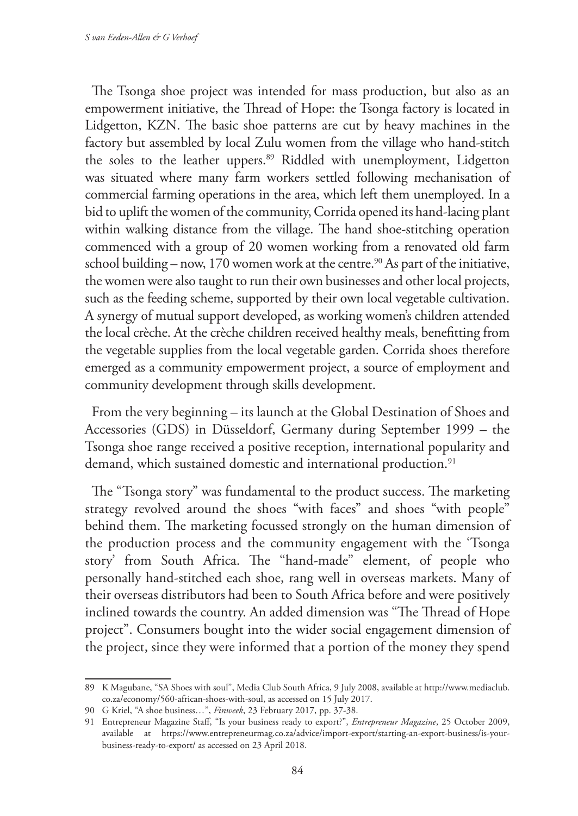The Tsonga shoe project was intended for mass production, but also as an empowerment initiative, the Thread of Hope: the Tsonga factory is located in Lidgetton, KZN. The basic shoe patterns are cut by heavy machines in the factory but assembled by local Zulu women from the village who hand-stitch the soles to the leather uppers.<sup>89</sup> Riddled with unemployment, Lidgetton was situated where many farm workers settled following mechanisation of commercial farming operations in the area, which left them unemployed. In a bid to uplift the women of the community, Corrida opened its hand-lacing plant within walking distance from the village. The hand shoe-stitching operation commenced with a group of 20 women working from a renovated old farm school building – now, 170 women work at the centre.<sup>90</sup> As part of the initiative, the women were also taught to run their own businesses and other local projects, such as the feeding scheme, supported by their own local vegetable cultivation. A synergy of mutual support developed, as working women's children attended the local crèche. At the crèche children received healthy meals, benefitting from the vegetable supplies from the local vegetable garden. Corrida shoes therefore emerged as a community empowerment project, a source of employment and community development through skills development.

From the very beginning – its launch at the Global Destination of Shoes and Accessories (GDS) in Düsseldorf, Germany during September 1999 – the Tsonga shoe range received a positive reception, international popularity and demand, which sustained domestic and international production.<sup>91</sup>

The "Tsonga story" was fundamental to the product success. The marketing strategy revolved around the shoes "with faces" and shoes "with people" behind them. The marketing focussed strongly on the human dimension of the production process and the community engagement with the 'Tsonga story' from South Africa. The "hand-made" element, of people who personally hand-stitched each shoe, rang well in overseas markets. Many of their overseas distributors had been to South Africa before and were positively inclined towards the country. An added dimension was "The Thread of Hope project". Consumers bought into the wider social engagement dimension of the project, since they were informed that a portion of the money they spend

<sup>89</sup> K Magubane, "SA Shoes with soul", Media Club South Africa, 9 July 2008, available at http://www.mediaclub. co.za/economy/560-african-shoes-with-soul, as accessed on 15 July 2017.

<sup>90</sup> G Kriel, "A shoe business…", *Finweek*, 23 February 2017, pp. 37-38.

<sup>91</sup> Entrepreneur Magazine Staff, "Is your business ready to export?", *Entrepreneur Magazine*, 25 October 2009, available at https://www.entrepreneurmag.co.za/advice/import-export/starting-an-export-business/is-yourbusiness-ready-to-export/ as accessed on 23 April 2018.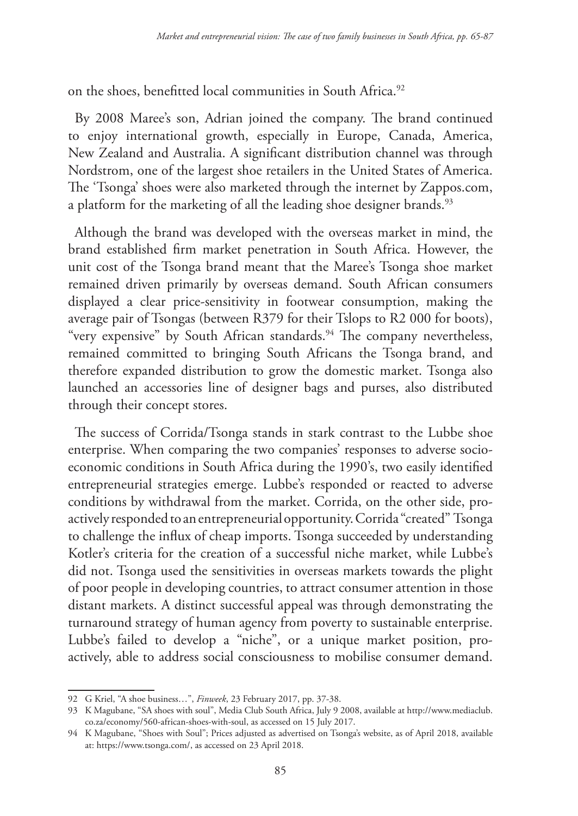on the shoes, benefitted local communities in South Africa.<sup>92</sup>

By 2008 Maree's son, Adrian joined the company. The brand continued to enjoy international growth, especially in Europe, Canada, America, New Zealand and Australia. A significant distribution channel was through Nordstrom, one of the largest shoe retailers in the United States of America. The 'Tsonga' shoes were also marketed through the internet by Zappos.com, a platform for the marketing of all the leading shoe designer brands.<sup>93</sup>

Although the brand was developed with the overseas market in mind, the brand established firm market penetration in South Africa. However, the unit cost of the Tsonga brand meant that the Maree's Tsonga shoe market remained driven primarily by overseas demand. South African consumers displayed a clear price-sensitivity in footwear consumption, making the average pair of Tsongas (between R379 for their Tslops to R2 000 for boots), "very expensive" by South African standards.<sup>94</sup> The company nevertheless, remained committed to bringing South Africans the Tsonga brand, and therefore expanded distribution to grow the domestic market. Tsonga also launched an accessories line of designer bags and purses, also distributed through their concept stores.

The success of Corrida/Tsonga stands in stark contrast to the Lubbe shoe enterprise. When comparing the two companies' responses to adverse socioeconomic conditions in South Africa during the 1990's, two easily identified entrepreneurial strategies emerge. Lubbe's responded or reacted to adverse conditions by withdrawal from the market. Corrida, on the other side, proactively responded to an entrepreneurial opportunity. Corrida "created" Tsonga to challenge the influx of cheap imports. Tsonga succeeded by understanding Kotler's criteria for the creation of a successful niche market, while Lubbe's did not. Tsonga used the sensitivities in overseas markets towards the plight of poor people in developing countries, to attract consumer attention in those distant markets. A distinct successful appeal was through demonstrating the turnaround strategy of human agency from poverty to sustainable enterprise. Lubbe's failed to develop a "niche", or a unique market position, proactively, able to address social consciousness to mobilise consumer demand.

<sup>92</sup> G Kriel, "A shoe business…", *Finweek*, 23 February 2017, pp. 37-38.

<sup>93</sup> K Magubane, "SA shoes with soul", Media Club South Africa, July 9 2008, available at http://www.mediaclub. co.za/economy/560-african-shoes-with-soul, as accessed on 15 July 2017.

<sup>94</sup> K Magubane, "Shoes with Soul"; Prices adjusted as advertised on Tsonga's website, as of April 2018, available at: https://www.tsonga.com/, as accessed on 23 April 2018.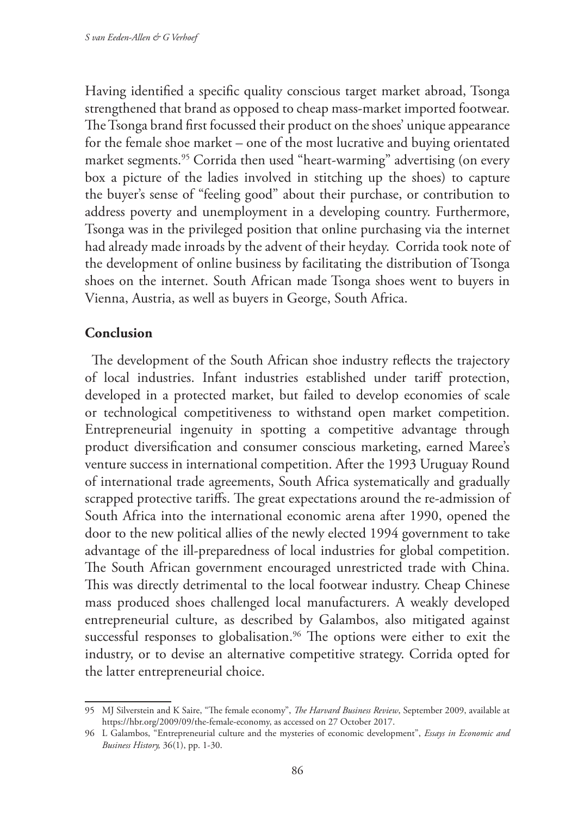Having identified a specific quality conscious target market abroad, Tsonga strengthened that brand as opposed to cheap mass-market imported footwear. The Tsonga brand first focussed their product on the shoes' unique appearance for the female shoe market – one of the most lucrative and buying orientated market segments.<sup>95</sup> Corrida then used "heart-warming" advertising (on every box a picture of the ladies involved in stitching up the shoes) to capture the buyer's sense of "feeling good" about their purchase, or contribution to address poverty and unemployment in a developing country. Furthermore, Tsonga was in the privileged position that online purchasing via the internet had already made inroads by the advent of their heyday. Corrida took note of the development of online business by facilitating the distribution of Tsonga shoes on the internet. South African made Tsonga shoes went to buyers in Vienna, Austria, as well as buyers in George, South Africa.

### **Conclusion**

The development of the South African shoe industry reflects the trajectory of local industries. Infant industries established under tariff protection, developed in a protected market, but failed to develop economies of scale or technological competitiveness to withstand open market competition. Entrepreneurial ingenuity in spotting a competitive advantage through product diversification and consumer conscious marketing, earned Maree's venture success in international competition. After the 1993 Uruguay Round of international trade agreements, South Africa systematically and gradually scrapped protective tariffs. The great expectations around the re-admission of South Africa into the international economic arena after 1990, opened the door to the new political allies of the newly elected 1994 government to take advantage of the ill-preparedness of local industries for global competition. The South African government encouraged unrestricted trade with China. This was directly detrimental to the local footwear industry. Cheap Chinese mass produced shoes challenged local manufacturers. A weakly developed entrepreneurial culture, as described by Galambos, also mitigated against successful responses to globalisation.<sup>96</sup> The options were either to exit the industry, or to devise an alternative competitive strategy. Corrida opted for the latter entrepreneurial choice.

<sup>95</sup> MJ Silverstein and K Saire, "The female economy", *The Harvard Business Review*, September 2009, available at https://hbr.org/2009/09/the-female-economy, as accessed on 27 October 2017.

<sup>96</sup> L Galambos, "Entrepreneurial culture and the mysteries of economic development", *Essays in Economic and Business History,* 36(1), pp. 1-30.